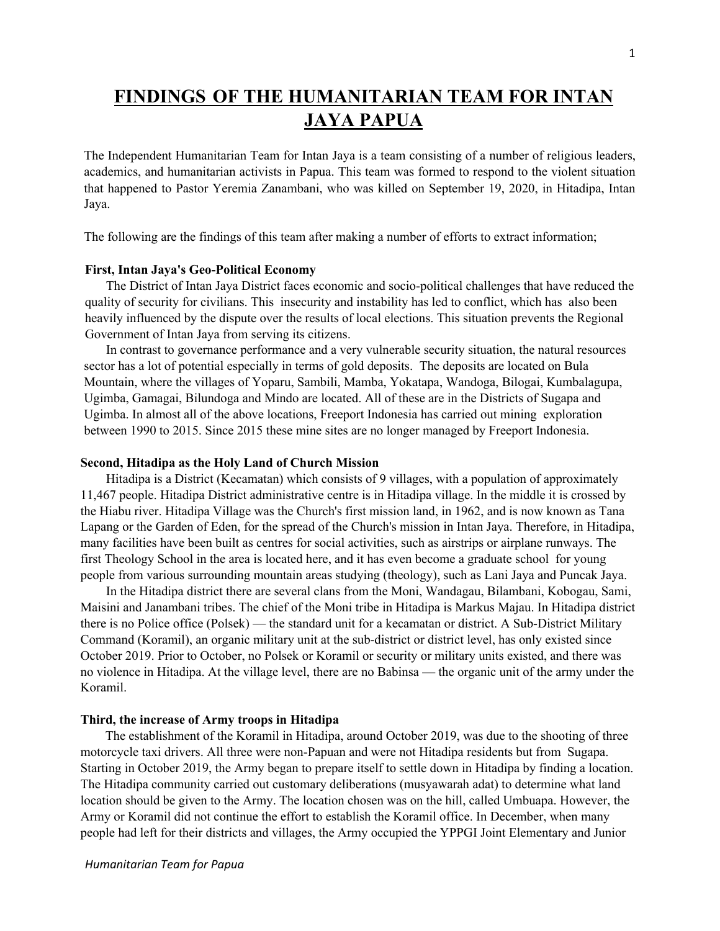# **FINDINGS OF THE HUMANITARIAN TEAM FOR INTAN JAYA PAPUA**

The Independent Humanitarian Team for Intan Jaya is a team consisting of a number of religious leaders, academics, and humanitarian activists in Papua. This team was formed to respond to the violent situation that happened to Pastor Yeremia Zanambani, who was killed on September 19, 2020, in Hitadipa, Intan Jaya.

The following are the findings of this team after making a number of efforts to extract information;

#### **First, Intan Jaya's Geo-Political Economy**

The District of Intan Jaya District faces economic and socio-political challenges that have reduced the quality of security for civilians. This insecurity and instability has led to conflict, which has also been heavily influenced by the dispute over the results of local elections. This situation prevents the Regional Government of Intan Jaya from serving its citizens.

In contrast to governance performance and a very vulnerable security situation, the natural resources sector has a lot of potential especially in terms of gold deposits. The deposits are located on Bula Mountain, where the villages of Yoparu, Sambili, Mamba, Yokatapa, Wandoga, Bilogai, Kumbalagupa, Ugimba, Gamagai, Bilundoga and Mindo are located. All of these are in the Districts of Sugapa and Ugimba. In almost all of the above locations, Freeport Indonesia has carried out mining exploration between 1990 to 2015. Since 2015 these mine sites are no longer managed by Freeport Indonesia.

#### **Second, Hitadipa as the Holy Land of Church Mission**

Hitadipa is a District (Kecamatan) which consists of 9 villages, with a population of approximately 11,467 people. Hitadipa District administrative centre is in Hitadipa village. In the middle it is crossed by the Hiabu river. Hitadipa Village was the Church's first mission land, in 1962, and is now known as Tana Lapang or the Garden of Eden, for the spread of the Church's mission in Intan Jaya. Therefore, in Hitadipa, many facilities have been built as centres for social activities, such as airstrips or airplane runways. The first Theology School in the area is located here, and it has even become a graduate school for young people from various surrounding mountain areas studying (theology), such as Lani Jaya and Puncak Jaya.

In the Hitadipa district there are several clans from the Moni, Wandagau, Bilambani, Kobogau, Sami, Maisini and Janambani tribes. The chief of the Moni tribe in Hitadipa is Markus Majau. In Hitadipa district there is no Police office (Polsek) — the standard unit for a kecamatan or district. A Sub-District Military Command (Koramil), an organic military unit at the sub-district or district level, has only existed since October 2019. Prior to October, no Polsek or Koramil or security or military units existed, and there was no violence in Hitadipa. At the village level, there are no Babinsa — the organic unit of the army under the Koramil.

# **Third, the increase of Army troops in Hitadipa**

The establishment of the Koramil in Hitadipa, around October 2019, was due to the shooting of three motorcycle taxi drivers. All three were non-Papuan and were not Hitadipa residents but from Sugapa. Starting in October 2019, the Army began to prepare itself to settle down in Hitadipa by finding a location. The Hitadipa community carried out customary deliberations (musyawarah adat) to determine what land location should be given to the Army. The location chosen was on the hill, called Umbuapa. However, the Army or Koramil did not continue the effort to establish the Koramil office. In December, when many people had left for their districts and villages, the Army occupied the YPPGI Joint Elementary and Junior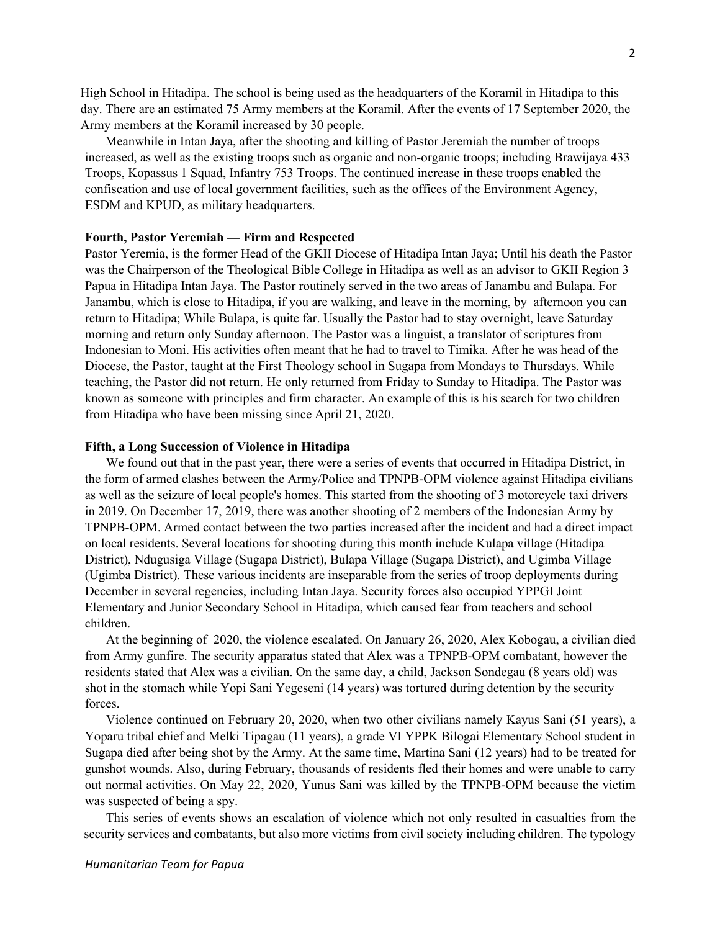High School in Hitadipa. The school is being used as the headquarters of the Koramil in Hitadipa to this day. There are an estimated 75 Army members at the Koramil. After the events of 17 September 2020, the Army members at the Koramil increased by 30 people.

Meanwhile in Intan Jaya, after the shooting and killing of Pastor Jeremiah the number of troops increased, as well as the existing troops such as organic and non-organic troops; including Brawijaya 433 Troops, Kopassus 1 Squad, Infantry 753 Troops. The continued increase in these troops enabled the confiscation and use of local government facilities, such as the offices of the Environment Agency, ESDM and KPUD, as military headquarters.

#### **Fourth, Pastor Yeremiah — Firm and Respected**

Pastor Yeremia, is the former Head of the GKII Diocese of Hitadipa Intan Jaya; Until his death the Pastor was the Chairperson of the Theological Bible College in Hitadipa as well as an advisor to GKII Region 3 Papua in Hitadipa Intan Jaya. The Pastor routinely served in the two areas of Janambu and Bulapa. For Janambu, which is close to Hitadipa, if you are walking, and leave in the morning, by afternoon you can return to Hitadipa; While Bulapa, is quite far. Usually the Pastor had to stay overnight, leave Saturday morning and return only Sunday afternoon. The Pastor was a linguist, a translator of scriptures from Indonesian to Moni. His activities often meant that he had to travel to Timika. After he was head of the Diocese, the Pastor, taught at the First Theology school in Sugapa from Mondays to Thursdays. While teaching, the Pastor did not return. He only returned from Friday to Sunday to Hitadipa. The Pastor was known as someone with principles and firm character. An example of this is his search for two children from Hitadipa who have been missing since April 21, 2020.

#### **Fifth, a Long Succession of Violence in Hitadipa**

We found out that in the past year, there were a series of events that occurred in Hitadipa District, in the form of armed clashes between the Army/Police and TPNPB-OPM violence against Hitadipa civilians as well as the seizure of local people's homes. This started from the shooting of 3 motorcycle taxi drivers in 2019. On December 17, 2019, there was another shooting of 2 members of the Indonesian Army by TPNPB-OPM. Armed contact between the two parties increased after the incident and had a direct impact on local residents. Several locations for shooting during this month include Kulapa village (Hitadipa District), Ndugusiga Village (Sugapa District), Bulapa Village (Sugapa District), and Ugimba Village (Ugimba District). These various incidents are inseparable from the series of troop deployments during December in several regencies, including Intan Jaya. Security forces also occupied YPPGI Joint Elementary and Junior Secondary School in Hitadipa, which caused fear from teachers and school children.

At the beginning of 2020, the violence escalated. On January 26, 2020, Alex Kobogau, a civilian died from Army gunfire. The security apparatus stated that Alex was a TPNPB-OPM combatant, however the residents stated that Alex was a civilian. On the same day, a child, Jackson Sondegau (8 years old) was shot in the stomach while Yopi Sani Yegeseni (14 years) was tortured during detention by the security forces.

Violence continued on February 20, 2020, when two other civilians namely Kayus Sani (51 years), a Yoparu tribal chief and Melki Tipagau (11 years), a grade VI YPPK Bilogai Elementary School student in Sugapa died after being shot by the Army. At the same time, Martina Sani (12 years) had to be treated for gunshot wounds. Also, during February, thousands of residents fled their homes and were unable to carry out normal activities. On May 22, 2020, Yunus Sani was killed by the TPNPB-OPM because the victim was suspected of being a spy.

This series of events shows an escalation of violence which not only resulted in casualties from the security services and combatants, but also more victims from civil society including children. The typology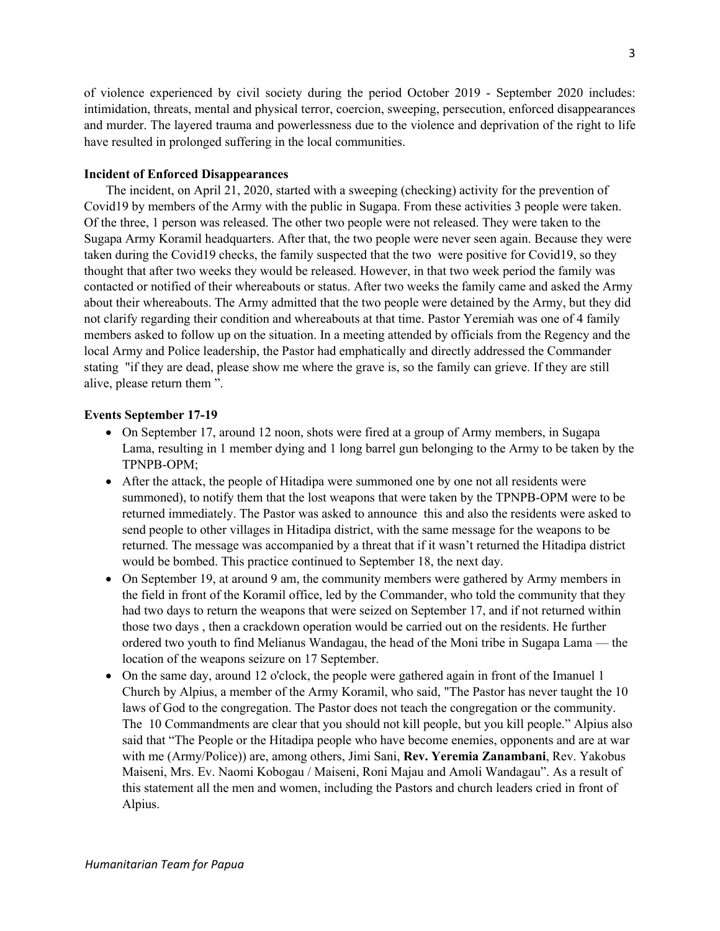of violence experienced by civil society during the period October 2019 - September 2020 includes: intimidation, threats, mental and physical terror, coercion, sweeping, persecution, enforced disappearances and murder. The layered trauma and powerlessness due to the violence and deprivation of the right to life have resulted in prolonged suffering in the local communities.

# **Incident of Enforced Disappearances**

The incident, on April 21, 2020, started with a sweeping (checking) activity for the prevention of Covid19 by members of the Army with the public in Sugapa. From these activities 3 people were taken. Of the three, 1 person was released. The other two people were not released. They were taken to the Sugapa Army Koramil headquarters. After that, the two people were never seen again. Because they were taken during the Covid19 checks, the family suspected that the two were positive for Covid19, so they thought that after two weeks they would be released. However, in that two week period the family was contacted or notified of their whereabouts or status. After two weeks the family came and asked the Army about their whereabouts. The Army admitted that the two people were detained by the Army, but they did not clarify regarding their condition and whereabouts at that time. Pastor Yeremiah was one of 4 family members asked to follow up on the situation. In a meeting attended by officials from the Regency and the local Army and Police leadership, the Pastor had emphatically and directly addressed the Commander stating "if they are dead, please show me where the grave is, so the family can grieve. If they are still alive, please return them ".

#### **Events September 17-19**

- On September 17, around 12 noon, shots were fired at a group of Army members, in Sugapa Lama, resulting in 1 member dying and 1 long barrel gun belonging to the Army to be taken by the TPNPB-OPM;
- After the attack, the people of Hitadipa were summoned one by one not all residents were summoned), to notify them that the lost weapons that were taken by the TPNPB-OPM were to be returned immediately. The Pastor was asked to announce this and also the residents were asked to send people to other villages in Hitadipa district, with the same message for the weapons to be returned. The message was accompanied by a threat that if it wasn't returned the Hitadipa district would be bombed. This practice continued to September 18, the next day.
- On September 19, at around 9 am, the community members were gathered by Army members in the field in front of the Koramil office, led by the Commander, who told the community that they had two days to return the weapons that were seized on September 17, and if not returned within those two days , then a crackdown operation would be carried out on the residents. He further ordered two youth to find Melianus Wandagau, the head of the Moni tribe in Sugapa Lama — the location of the weapons seizure on 17 September.
- On the same day, around 12 o'clock, the people were gathered again in front of the Imanuel 1 Church by Alpius, a member of the Army Koramil, who said, "The Pastor has never taught the 10 laws of God to the congregation. The Pastor does not teach the congregation or the community. The 10 Commandments are clear that you should not kill people, but you kill people." Alpius also said that "The People or the Hitadipa people who have become enemies, opponents and are at war with me (Army/Police)) are, among others, Jimi Sani, **Rev. Yeremia Zanambani**, Rev. Yakobus Maiseni, Mrs. Ev. Naomi Kobogau / Maiseni, Roni Majau and Amoli Wandagau". As a result of this statement all the men and women, including the Pastors and church leaders cried in front of Alpius.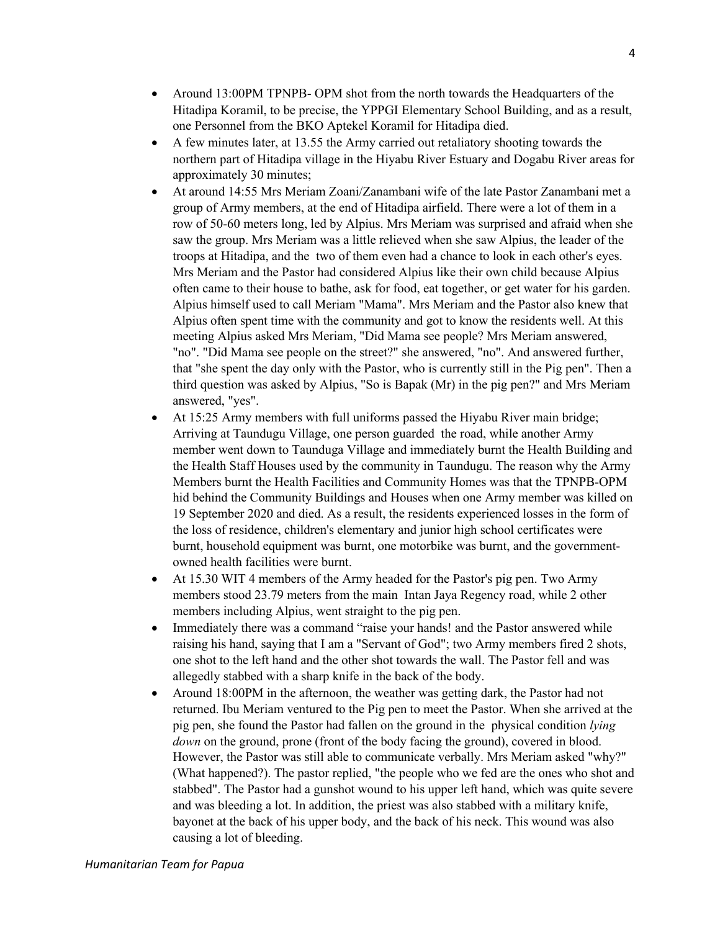- Around 13:00PM TPNPB- OPM shot from the north towards the Headquarters of the Hitadipa Koramil, to be precise, the YPPGI Elementary School Building, and as a result, one Personnel from the BKO Aptekel Koramil for Hitadipa died.
- A few minutes later, at 13.55 the Army carried out retaliatory shooting towards the northern part of Hitadipa village in the Hiyabu River Estuary and Dogabu River areas for approximately 30 minutes;
- At around 14:55 Mrs Meriam Zoani/Zanambani wife of the late Pastor Zanambani met a group of Army members, at the end of Hitadipa airfield. There were a lot of them in a row of 50-60 meters long, led by Alpius. Mrs Meriam was surprised and afraid when she saw the group. Mrs Meriam was a little relieved when she saw Alpius, the leader of the troops at Hitadipa, and the two of them even had a chance to look in each other's eyes. Mrs Meriam and the Pastor had considered Alpius like their own child because Alpius often came to their house to bathe, ask for food, eat together, or get water for his garden. Alpius himself used to call Meriam "Mama". Mrs Meriam and the Pastor also knew that Alpius often spent time with the community and got to know the residents well. At this meeting Alpius asked Mrs Meriam, "Did Mama see people? Mrs Meriam answered, "no". "Did Mama see people on the street?" she answered, "no". And answered further, that "she spent the day only with the Pastor, who is currently still in the Pig pen". Then a third question was asked by Alpius, "So is Bapak (Mr) in the pig pen?" and Mrs Meriam answered, "yes".
- At 15:25 Army members with full uniforms passed the Hiyabu River main bridge; Arriving at Taundugu Village, one person guarded the road, while another Army member went down to Taunduga Village and immediately burnt the Health Building and the Health Staff Houses used by the community in Taundugu. The reason why the Army Members burnt the Health Facilities and Community Homes was that the TPNPB-OPM hid behind the Community Buildings and Houses when one Army member was killed on 19 September 2020 and died. As a result, the residents experienced losses in the form of the loss of residence, children's elementary and junior high school certificates were burnt, household equipment was burnt, one motorbike was burnt, and the governmentowned health facilities were burnt.
- At 15.30 WIT 4 members of the Army headed for the Pastor's pig pen. Two Army members stood 23.79 meters from the main Intan Jaya Regency road, while 2 other members including Alpius, went straight to the pig pen.
- Immediately there was a command "raise your hands! and the Pastor answered while raising his hand, saying that I am a "Servant of God"; two Army members fired 2 shots, one shot to the left hand and the other shot towards the wall. The Pastor fell and was allegedly stabbed with a sharp knife in the back of the body.
- Around 18:00PM in the afternoon, the weather was getting dark, the Pastor had not returned. Ibu Meriam ventured to the Pig pen to meet the Pastor. When she arrived at the pig pen, she found the Pastor had fallen on the ground in the physical condition *lying down* on the ground, prone (front of the body facing the ground), covered in blood. However, the Pastor was still able to communicate verbally. Mrs Meriam asked "why?" (What happened?). The pastor replied, "the people who we fed are the ones who shot and stabbed". The Pastor had a gunshot wound to his upper left hand, which was quite severe and was bleeding a lot. In addition, the priest was also stabbed with a military knife, bayonet at the back of his upper body, and the back of his neck. This wound was also causing a lot of bleeding.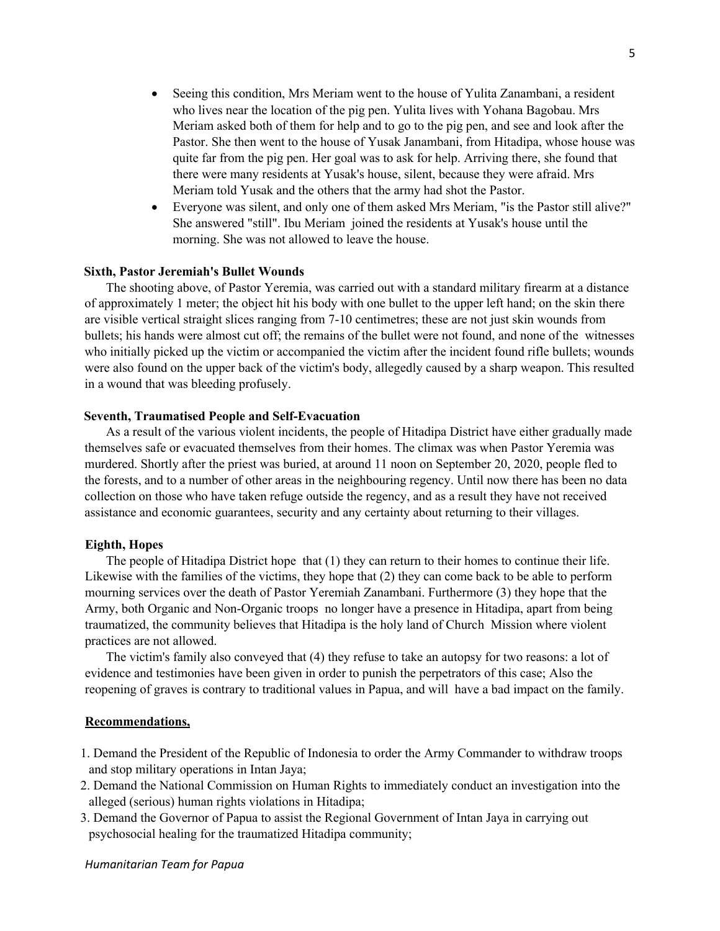- Seeing this condition, Mrs Meriam went to the house of Yulita Zanambani, a resident who lives near the location of the pig pen. Yulita lives with Yohana Bagobau. Mrs Meriam asked both of them for help and to go to the pig pen, and see and look after the Pastor. She then went to the house of Yusak Janambani, from Hitadipa, whose house was quite far from the pig pen. Her goal was to ask for help. Arriving there, she found that there were many residents at Yusak's house, silent, because they were afraid. Mrs Meriam told Yusak and the others that the army had shot the Pastor.
- Everyone was silent, and only one of them asked Mrs Meriam, "is the Pastor still alive?" She answered "still". Ibu Meriam joined the residents at Yusak's house until the morning. She was not allowed to leave the house.

# **Sixth, Pastor Jeremiah's Bullet Wounds**

The shooting above, of Pastor Yeremia, was carried out with a standard military firearm at a distance of approximately 1 meter; the object hit his body with one bullet to the upper left hand; on the skin there are visible vertical straight slices ranging from 7-10 centimetres; these are not just skin wounds from bullets; his hands were almost cut off; the remains of the bullet were not found, and none of the witnesses who initially picked up the victim or accompanied the victim after the incident found rifle bullets; wounds were also found on the upper back of the victim's body, allegedly caused by a sharp weapon. This resulted in a wound that was bleeding profusely.

# **Seventh, Traumatised People and Self-Evacuation**

As a result of the various violent incidents, the people of Hitadipa District have either gradually made themselves safe or evacuated themselves from their homes. The climax was when Pastor Yeremia was murdered. Shortly after the priest was buried, at around 11 noon on September 20, 2020, people fled to the forests, and to a number of other areas in the neighbouring regency. Until now there has been no data collection on those who have taken refuge outside the regency, and as a result they have not received assistance and economic guarantees, security and any certainty about returning to their villages.

#### **Eighth, Hopes**

The people of Hitadipa District hope that (1) they can return to their homes to continue their life. Likewise with the families of the victims, they hope that (2) they can come back to be able to perform mourning services over the death of Pastor Yeremiah Zanambani. Furthermore (3) they hope that the Army, both Organic and Non-Organic troops no longer have a presence in Hitadipa, apart from being traumatized, the community believes that Hitadipa is the holy land of Church Mission where violent practices are not allowed.

The victim's family also conveyed that (4) they refuse to take an autopsy for two reasons: a lot of evidence and testimonies have been given in order to punish the perpetrators of this case; Also the reopening of graves is contrary to traditional values in Papua, and will have a bad impact on the family.

### **Recommendations,**

- 1. Demand the President of the Republic of Indonesia to order the Army Commander to withdraw troops and stop military operations in Intan Jaya;
- 2. Demand the National Commission on Human Rights to immediately conduct an investigation into the alleged (serious) human rights violations in Hitadipa;
- 3. Demand the Governor of Papua to assist the Regional Government of Intan Jaya in carrying out psychosocial healing for the traumatized Hitadipa community;